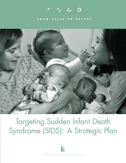# ം

#### **SELVES**  $\mathbf{M}$  $\epsilon$  $T<sub>o</sub>$



# Targeting Sudden Infant Death Syndrome (SIDS): A Strategic Plan



National Institute of Child Health and Human Development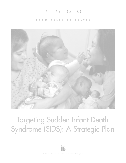# $1.500$

#### **FROM CELLS TO SELVES**



# Targeting Sudden Infant Death Syndrome (SIDS): A Strategic Plan

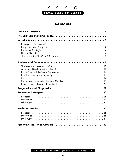

# **Contents**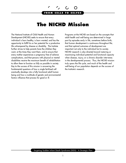# **The NICHD Mission**

<span id="page-3-0"></span>The National Institute of Child Health and Human Development (NICHD) seeks to ensure that every individual is born healthy, is born wanted, and has the opportunity to fulfill his or her potential for a productive life unhampered by disease or disability. The Institute further strives to help parents have the children they want, at the times they want them, and to ensure that every mother experiences a pregnancy free of adverse complications, and that persons with physical or mental disabilities receive the maximum benefit of rehabilitation to allow them to function as fully as possible in society. Key to the success of this mission is answering the fundamental questions of how a single fertilized cell eventually develops into a fully functional adult human being and how a multitude of genetic and environmental factors influence that process for good or ill.

Programs at the NICHD are based on the concepts that adult health and well-being are determined in large part by episodes early in life, sometimes before birth; that human development is continuous throughout life; and that optimal outcomes of development are important not only to the individual but to society. NICHD research is also directed toward restoring or maximizing individual potential and functional capacity when disease, injury, or a chronic disorder intervenes in the developmental process. Thus, the NICHD mission truly spans the life cycle, and much of the health and well-being of our population depends on the success of the Institute's research.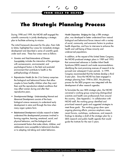

# <span id="page-4-0"></span>**The Strategic Planning Process**

During 1998 and 1999, the NICHD staff engaged the scientific community in jointly developing a strategic plan to facilitate achieving its mission.

The initial framework document for this plan, *From Cells to Selves,* highlighted four areas for immediate strategic development and described a series of scientific goals under each area. These four areas were as follows:

- • *Genetics and Fetal Antecedents of Disease Susceptibility* includes the interaction of the genotype with socioeconomic, environmental, and psychological factors in the fetal and postnatal environment that contribute to health or the pathophysiology of diseases.
- • *Reproductive Health for the 21st Century* comprises the biological and behavioral factors that allow couples to have healthy children when they want them and the reproduction-related conditions that may affect women during and after their reproductive years.
- • *Developmental Biology: Understanding Normal and Abnormal Development* consists of the basic biological science necessary to understand early development *in utero* and through the time when many organ systems form.
- • *Biobehavioral Development* includes research to better understand the developmental processes involved in forming cognitive, learning, emotional, social, and physical behaviors, and the biological and environmental factors that make infants, children, and adolescents more susceptible to behavioral disorders or to adopting risk-taking and violent behaviors.

*Health Disparities: Bridging the Gap,* a fifth strategic plan, was developed to better understand how natural biological and behavioral forces interact with a variety of social, community, and economic factors to produce health disparities, and how to intervene to enhance the health and well-being of these minority and underserved populations.

In addition, at the request of the United States Congress, the NICHD produced strategic plans in 1989 and 1995 that summarized advances in Sudden Infant Death Syndrome (SIDS) research and made recommendations identifying the most promising avenues of research to be pursued over subsequent 5-year periods. In 1999, Congress recommended that the Institute develop a third 5-year plan. Since the NICHD has been engaged in strategic planning from 1998 to 2001, the planning process for the SIDS program was integrated with the development of other research agendas.

To formulate the new SIDS strategic plan, the NICHD convened a working group comprising distinguished scientists and health care professionals from around the country. (See Appendix.) In collaboration with NICHD staff, the working group identified and prioritized research goals and suggested strategies to meet those goals. The working group drew upon ongoing planning efforts, previous emphasis areas, recent forums, workshops, conferences, and research findings to develop a draft of the strategic plan for a SIDS research and public health agenda that would guide the Institute for the next 5 years.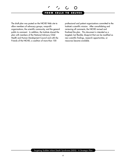

The draft plan was posted on the NICHD Web site to allow members of advocacy groups, nonprofit organizations, the scientific community, and the general public to comment. In addition, the Institute shared the plan with members of the National Advisory Child Health and Human Development Council and with the Friends of the NICHD, a coalition of more than 100

professional and patient organizations committed to the Institute's scientific mission. After consolidating and reviewing all comments, the NICHD revised and finalized the plan. This document is intended as a targeted, but flexible, blueprint that can be modified as new scientific findings, research opportunities, or resources become available.

#### Targeting Sudden Infant Death Syndrome (SIDS): A Strategic Plan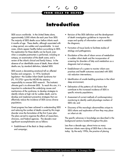# **Introduction**

<span id="page-6-0"></span>SIDS occurs worldwide. In the United States alone, approximately 3,000 infants die each year from SIDS. The majority of SIDS deaths occur before infants reach 6 months of age. These deaths, although associated with a sleep period, are sudden and unpredictable. In most cases, infants appear healthy before succumbing to SIDS. No explanation for these deaths can be found, even when a complete postmortem is performed, including an autopsy, an examination of the death scene, and a review of the infant's clinical and family history. In the absence of an identifiable cause of death, these infants' deaths are, by standard definition, labeled SIDS.

SIDS exacts a devastating emotional toll on affected families and caregivers. In 1974, landmark legislation—the Sudden Infant Death Syndrome Act (P.L. 93-270)—gave the NICHD the statutory responsibility to oversee SIDS research. The Institute's ultimate goal is to eliminate SIDS. To reach this aim, it is important to understand the underlying causes and mechanisms of the syndrome, to develop strategies to identify infants at high risk for sudden death, and to develop and implement preventive strategies that can effectively reduce the incidence of SIDS across diverse populations.

Great progress has been achieved in understanding SIDS and reducing the number of deaths caused by this tragic disorder since the formulation of the first 5-year plan. The plans served to organize the efforts of researchers, clinicians, and Federal agencies. The decade's most significant accomplishments are as follows:

• Establishment of the *Back to Sleep* coalition and campaign;

- Revision of the SIDS definition and the development of death investigation guidelines to improve the scope and quality of information used to establish the diagnosis;
- • Formation of tissue banks to facilitate studies of etiology and pathogenesis;
- Elucidation of the role of inborn errors of metabolism in sudden infant death and the incorporation of screening for disorders of fatty acid metabolism as a diagnostic tool at autopsy;
- • Establishment of a system to monitor infant care practices and health outcomes associated with SIDS risk reduction interventions;
- Identification of unsafe bedding practices in the infant sleep environment;
- Delineation of the patterns of risk factors that contribute to the increased incidence of SIDS in specific minority populations;
- • Assessment of current methods of cardiorespiratory monitoring to identify useful physiologic markers of SIDS risk; and
- Discovery of the neurologic abnormalities unique to SIDS infants and exploration of how they may place an infant at risk.

The specific advances in knowledge are described in the background sections located throughout the plan.

Less than a decade ago, almost twice as many American infants were dying of SIDS than is the case today. By the early 1990s, the practice of placing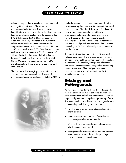

<span id="page-7-0"></span>infants to sleep on their stomachs had been identified as a significant risk factor. The subsequent recommendation by the American Academy of Pediatrics to place healthy babies on their backs to sleep (side as an alternate position) and the success of the NICHD-led national *Back to Sleep* campaign are associated with a large decrease in the number of infants placed to sleep on their stomachs and a 40-percent reduction in SIDS rates between 1992 and 1998. As a result, about 2,000 fewer babies now die each year than was the case in 1992. However, SIDS still remains the leading cause of death in infants between 1 month and 1 year of age in the United States. Moreover, significant disparities in SIDS prevalence rates still exist among various racial and ethnic groups.

The purpose of this strategic plan is to build on past successes and forge new paths of discovery. The recommendations go beyond deaths labeled as SIDS by



medical examiners and coroners to include all sudden deaths occurring from late fetal life through infancy and early childhood. The plan defines strategies aimed at improving maternal as well as infant health. It encompasses both basic infant care practices and research based on the latest molecular genetic technologies. This framework will provide researchers with the knowledge and resources needed to illuminate the etiology of SIDS and, ultimately, to eliminate these needless deaths.

The plan is divided into four sections: Etiology and Pathogenesis, Prognostics and Diagnostics, Preventive Strategies, and Health Disparities. Each section contains a statement of the problem, background information, and specific recommendations designed to address gaps in our current state of knowledge or intervention activities and to correct deficiencies in our basic scientific infrastructure.

# **Etiology and Pathogenesis**

Knowledge acquired during the past decade supports the general hypothesis that infants who die from SIDS have abnormalities at birth that render them vulnerable to potentially life-threatening challenges during infancy. The recommendations in this section are targeted toward understanding the following circumstances:

- How the neural abnormalities observable in SIDS infants develop;
- How these neural abnormalities affect infant health and development before and after birth;
- Whether there are genetic factors that predispose infants to sudden death; and
- How specific characteristics of the fetal and postnatal environment either contribute to the pathologic process or serve to protect infants.

Targeting Sudden Infant Death Syndrome (SIDS): A Strategic Plan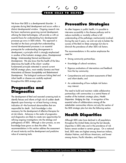<span id="page-8-0"></span>We know that SIDS is a developmental disorder: it originates during fetal development and occurs within a distinct developmental window. Ongoing research into the basic mechanisms governing normal development, utilizing the latest technologies, will provide us with an essential basis for understanding how developmental processes go awry in SIDS infants. This approach is founded on the basic principle that understanding normal developmental processes is an essential prerequisite for understanding derangements in development, a principle which is strongly emphasized in another of the Institute's strategic plans, *Developmental Biology: Understanding Normal and Abnormal Development.* We also know that the health of the fetus determines the health of the infant—another fundamental principle reiterated in several current NICHD strategic plans, most notably *Genetics and Fetal Antecedents of Disease Susceptibility* and *Biobehavioral Development.* The biological continuum linking fetal and infant health or disease are carefully explored throughout this SIDS strategic plan.

# **Prognostics and Diagnostics**

The development of fetal and neonatal screening tools to identify fetuses and infants at high risk of sudden death depends upon knowing—or at least having a strong indication of—the functional abnormalities that are responsible for death. Such knowledge is also necessary for the development of effective therapies for at-risk infants. Advances in the realm of prognostics and diagnostics are likely to create new opportunities for refining ongoing investigations into the etiology and pathogenesis of SIDS. Although a slow process, as one knowledge base grows so does the other. The recommendations in this section address the assessment of neural maturity and the development and predictive value of screening tools.

# **Preventive Strategies**

As often happens in public health, it is possible to intervene successfully in the disease pathway and to reduce morbidity or mortality without a full understanding of the pathologic mechanism(s) involved. During the next 5 years, we wish not only to bolster the success of the *Back to Sleep* campaign but also to diminish the prevalence of other SIDS risk factors.

The recommendations in this section emphasize the need for

- Strong community partnerships;
- Knowledge of cultural variations;
- Rigorous evaluations of interventions and feedback from the lay community;
- • Comprehensive and consistent assessments of fetal and infant deaths; and
- An understanding of how multiple risk factors may interact.

The need to build and maintain viable collaborative partnerships with communities is a central theme of another of the Institute's strategic plans, *Health Disparities: Bridging the Gap.* A recognition of the essential value of collaborations among all the stakeholder communities informs not only this section of the SIDS strategic plan but also the following section.

# **Health Disparities**

Although SIDS rates have declined in all populations throughout the United States during the last decade, disparities in SIDS rates and in the prevalence of risk factors remain evident in certain groups. On a national level, SIDS rates are highest among American Indians, Alaskan Natives, and African Americans, and lowest among Asians, Pacific Islanders, and Hispanics.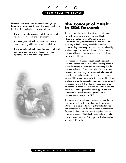<span id="page-9-0"></span>However, prevalence rates vary within these groups based on socioeconomic factors. The recommendations in this section emphasize the following factors:

- The creation and maintenance of strong community resources for research and intervention;
- The investigation of both protective and adverse forces operating within and across populations;
- The investigation of both macro (e.g., equity of care) and micro (e.g., genetic predisposition) forces operating within and across populations.



# **The Concept of "Risk" in SIDS Research**

The principal aims of this strategic plan are to focus research resources and effort into scientifically identifying risk factors for SIDS and to develop intervention strategies that reduce the occurrence of these tragic deaths. Many people have trouble understanding the concept of "risk." As it is defined by epidemiologists, risk refers to the *probability* that an outcome will occur given the presence of a particular factor or set of factors.

Risk factors are identified through specific associations with the outcome, and their contribution is expressed as either decreasing or increasing the probability that the outcome will occur. Scientifically identified associations between risk factors (e.g., socioeconomic characteristics, behaviors, or environmental exposures) and outcomes, such as SIDS, do not necessarily denote causality. Other explanations for the association must be considered, and the mechanisms underlying the risk factor need to be delineated. Furthermore, as discussed in this report, the best current working model of SIDS suggests that more than one scenario of pre-existing conditions and initiating events may lead to SIDS.

Therefore, when a SIDS death occurs, it is important to focus on all of the risk factors that may be involved. Our goal is to develop knowledge that helps families and caregivers provide the best supportive environment for their children. We also wish to help families who have experienced a SIDS death better understand what has happened and why. We hope that this knowledge will help SIDS families heal.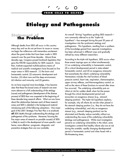# <span id="page-10-0"></span>**Etiology and Pathogenesis**

# **Statement of the Problem**

Although deaths from SIDS still occur in this country every day and we do not yet know its cause or causes, we begin the millennium with tremendous excitement about the great strides that have been made in SIDS research over the past three decades. Almost three decades ago, Congress passed landmark legislation that gave the NICHD responsibility for SIDS research. Since then, Institute-supported multidisciplinary teams of medical and scientific investigators have focused on five major areas in SIDS research: (1) the brain and homeostatic control, (2) autonomic development and function, (3) infant care and the sleep environment, (4) infection and immunity, and (5) genetics.

As we have acquired more knowledge, it has become clear that these five broad areas of research are even more relevant to a full understanding of the etiology (cause) and pathogenesis (development of the disease process) of SIDS than was suspected at the beginning of these decades-long research efforts. What we now know about the relationships between each of these research areas and SIDS is detailed in the background material introducing each of the following subsections. One major goal of the 2001 Strategic Five-Year Plan is to eradicate **all** SIDS deaths through understanding the etiology and pathogenesis of the syndrome. Moreover, focusing the five major areas of research on possible cause(s) of SIDS is likely to result in the development of more specific—and hence, more effective—prognostic, diagnostic, and preventive strategies than are now available.

An overall "driving" hypothesis guiding SIDS research now commonly referred to as the "triple-risk hypothesis"—has emerged during the past 30 years of investigations into the syndrome's etiology and pathogenesis. This hypothesis, resulting from a synthesis of the knowledge gained from separate investigations, has been advanced in different ways and gradually refined by many different researchers.

According to the triple-risk hypothesis, SIDS occurs when three events impinge upon an infant simultaneously: (1) an underlying vulnerability in homeostatic control, (2) a critical developmental period in state-related homeostatic control, and (3) an exogenous stressor(s) that exacerbates the infant's underlying vulnerability. Homeostasis includes the vital functions of blood pressure control, heart rate, respiration, chemoreception, upper airway reflexes, and thermoregulatory control, as well as the return of these functions to normal after stress has occurred. The underlying vulnerability puts an infant at risk for sudden death when he/she passes through the critical developmental period and encounters an exogenous stressor (e.g., stomach sleeping position). The triple-risk hypothesis explains, for example, why all infants do not die when placed in the stomach sleeping position (i.e., they do not have the underlying vulnerability), and why an exogenous stressor (e.g., stomach sleeping position) can be eliminated and thereby reduce mortality without our understanding the cause of the underlying vulnerability (etiology and pathogenesis). While most investigators perceive an underlying vulnerability in the infant, some investigators contend that healthy infants also are at risk during the unstable, rapidly changing developmental period in homeostatic control and when faced with a life-threatening stress.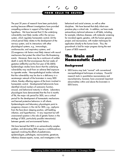<span id="page-11-0"></span>The past 30 years of research have been particularly exciting because different investigations have provided compelling evidence in support of the triple-risk hypothesis. We have learned that (1) the underlying vulnerability most likely resides within the nervous system, which regulates homeostatic control, (2) the critical period likely relates to the development of the nervous system, and its interactions with other physiological systems, e.g., immunologic, cardiovascular, and respiratory systems, and (3) exogenous risk factors most likely interact with neural mechanisms that protect the infant from life-threatening events. Moreover, there may be a continuum of sudden death in early life that encompasses the last weeks of gestation (stillbirths) and the first year of life (SIDS). Epidemiologic studies have shown that the underlying vulnerability may result from an adverse fetal exposure to cigarette smoke. Neuropathological studies indicate that the vulnerability may be due to a deficiency in a serotonergic network of the brainstem in many SIDS infants, thereby affecting regions of the brain involved in homeostatic control. Developmental behaviorists have identified clinical markers of autonomic function, arousal, and behavioral maturity in infants. Laboratory physiologists have demonstrated that the first 6 months of life, the major risk period for SIDS, are a critical period for the development of homeostatic mechanisms and learned protective behaviors in all infants. Epidemiologists and laboratory physiologists point to exogenous stressors in the risk for SIDS, e.g., asphyxia from the face-down sleeping position, soft bedding, infection, and hyperthermia. A very important but stillunanswered question is the role of genetic factors in the etiology of SIDS, particularly possible interaction(s) between genetic and environmental factors.

We have learned that SIDS is an extraordinarily complex problem, and eliminating SIDS requires a multidisciplinary approach involving the efforts of pediatricians, epidemiologists, pathologists, neuroscientists, geneticists, infectious disease experts, nurses, and investigators in the

behavioral and social sciences, as well as other disciplines. We have learned that daily infant-care practices play a critical role. In addition, we have made extraordinary technical advances in all fields, including, for example, infectious diseases, with molecular screening for microbial agents; genetics, with the human genome project; and neuroscience, with modern techniques for application directly to the human brain. Thus, the groundwork is laid for major progress during the next 5 years of SIDS research.

# **The Brain and Homeostatic Control**

### **Background**

• SIDS brains may look "normal" with conventional neuropathological techniques at autopsy. Powerful research tools in quantitative neuroanatomy and neurochemistry, however, have uncovered important abnormalities within and above the brainstem in SIDS brains.



Targeting Sudden Infant Death Syndrome (SIDS): A Strategic Plan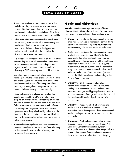- These include deficits in serotonin receptors in the medullary raphe, the arcuate nucleus, and related regions of the brainstem, along with structural and developmental delays in the cerebellum. All of these regions have a common embryonic origin in fetal life.
- Other brain abnormalities reported in SIDS babies include heavy brain weight, white matter injury and developmental delay, and structural and neurochemical abnormalities in the hypoglossal nucleus, a region involved in the control of the airway during waking and sleeping.
- It is unclear how all these findings relate to each other because they have not all been studied in the same brains. However, many of these findings are in regions related to homeostatic control, and their discovery in SIDS brains represents a critical first step.
- Brainstem regions in animals that are likely homologous with the human arcuate (ventral medulla) and raphe regions are known to be involved in the development and control of breathing and blood pressure, thermoregulation, sleep and arousal, and the modulation of sensory and motor activity.
- • Abnormal respiratory reflexes may explain the greater susceptibility to SIDS when infants are sleeping on their stomachs. Rebreathing of exhaled gas rich in carbon dioxide and poor in oxygen may fail to arouse and stimulate an infant with deficient chemoreception. Laryngeal receptors that cause apnea are more likely stimulated by reflux when the infant is in the prone position, an undesirable effect that may be exaggerated by brainstem abnormalities in the control system.
- Abnormal thermoregulation and sleep architecture may also contribute to risk because infants who sleep on their stomachs lose heat less effectively and experience fewer arousals.

#### **Goals and Objectives**

**Goal:** Elucidate the origin and range of brain abnormalities in SIDS and other forms of sudden death and reveal how these abnormalities are interrelated.

- **Objective:** Investigate the development of human brain regions involved in homeostatic control during gestation and early infancy, using neuroanatomic, neurochemical, cellular, and molecular techniques.
- **Objective:** Investigate the development of regions involved in homeostatic control in SIDS brains compared with postconceptionally age-matched control brains, including regions that have not been adequately tested with research tools—e.g., the hypothalamus, arousal systems, and the cerebellum using neuroanatomic, neurochemical, cellular, and molecular techniques. Compare lesions [collected and studied] before and after the beginning of the *Back to Sleep* campaign.
- **Objective:** Study cerebral white matter abnormalities indepth in SIDS infants, including subtle gliosis, periventricular leukomalacia, lipidladen macrophages, and hypomyelination. Attempt to correlate resultant findings with known biochemical deficiencies and histories of perinatal hypoxia and ischemia.
- • **Objective:** Assess the effects of environmental insults known to put infants at risk for SIDS on human fetal brain development. These environmental insults include prenatal exposures to tobacco smoke and alcohol.
- **Objective:** Analyze the neuropathology of known diseases of autonomic function—e.g., Prader-Willi, Congenital Central Hypoventilation Syndrome (CCHS)—for clues to guide the further analysis of SIDS brains. Clues derived from these known autonomic disorders will come from functional brain imaging.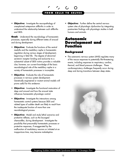#### **FROM CELLS TO**

<span id="page-13-0"></span>**• Objective:** Investigate the neuropathology of unexplained antepartum stillbirths in order to understand the relationship between such stillbirths and SIDS.

**Goal:** Understand the neurobiology of homeostatic processes, especially during different states of arousal and during development.

- **Objective:** Evaluate the functions of the ventral medulla and the medullary raphe in homeostatic regulation during various stages of development, beginning in fetal life. The degree of abnormal serotonin receptor binding and exclusivity to a substantial subset of SIDS victims provides a valuable clue; however, our current knowledge of the basic neurobiological role of the medullary raphe in a variety of homeostatic processes is incomplete.
- • **Objective:** Evaluate the role of homeostatic processes in nervous system development. Genetically engineered or mutant animal models will prove useful for this endeavor.
- • **Objective:** Investigate the functional maturation of sleep and arousal and how the arousal state influences homeostatic physiologic control.
- **Objective:** Investigate the interactions among homeostatic control systems because SIDS and related types of sudden death are likely to result from the inadequate function of more than one neurobiological process.
- • **Objective:** Model and study lethal scenarios and protective reflexes, such as the laryngeal chemoreflex, during development. Investigate the possibility that presumably homeostatic processes or protective responses, if exaggerated by the malfunction of modulatory neurons or initiated at an inopportune time, may become maladaptive.

**• Objective:** Further define the central nervous system sites of physiologic dysfunction by integrating postmortem findings with physiologic studies in both humans and animals.

# **Autonomic Development and Function**

#### **Background**

• The autonomic nervous system (ANS) regulates many of the rescue responses to potentially life-threatening events, including responses to respiratory, cardiac, thermal, and blood pressure challenges. These cardiorespiratory challenges frequently occur during sleep and during transitions between sleep states.

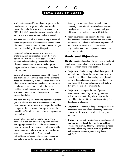- ANS dysfunction and/or an altered trajectory in the development of this system are features found in many infants who have subsequently succumbed to SIDS. This ANS dysfunction appears to arise before birth owing to a compromised fetal environment.
- The peak incidence of SIDS occurs during a period of major reorganization of the autonomic nervous system. Measures of autonomic control show dramatic changes and instability during this transition period.
- An infant's defensive behaviors to respiratory challenges, such as rebreathing expired air, are compromised in the facedown position or when covered by loose bedding. Vulnerable infants also may have altered responses to changes in oxygen levels associated with sleeping under these risk conditions.
- Several physiologic responses mediated by the ANS are depressed when infants sleep on their stomachs. These include reactivity to noise, sudden decreases in blood pressure, and tactile stimulation. There is also a reduction in heart rate control in the prone position, as well as decreased movement, less wakening, longer periods of deep sleep, and higher arousal thresholds.
- The heart rate response following postural adjustment (tilt) is a reliable measure of the competence of neural mechanisms to process and respond to sudden changes in blood pressure. During the vulnerable period for SIDS, infants have diminished responses to this challenge.
- Epidemiologic studies have reaffirmed a strong relationship between amounts of cigarette smoking during pregnancy and SIDS. The development of neural substrates for autonomic control is susceptible to the known toxic effects of exposure to alcohol and smoking during gestation. Basic research has pointed to a relationship between nicotine exposure and autonomic function during the fetal period.

Smoking has also been shown to lead to low birthweight, alterations in baseline heart rate and blood pressure, and blunted responses to hypoxia, which are characteristics of many SIDS victims.

• Recent psychobiological research findings suggest that important continuities exist in fetal and infant neurobehavior. Individual differences in patterns of fetal heart rate, movement, and sleep-state organization predict similar patterns in newborns and older infants.

# **Goals and Objectives**

**Goal:** Elucidate the role of the continuity of fetal and infant autonomic development and dysfunction in the etiology of sudden unexplained deaths.

- • **Objective:** Study the longitudinal development of fetal-to-infant cardiorespiratory and cardiovascular control. In addition to illuminating the origin and nature of the pathogenic process, these studies may help to identify the most vulnerable infants before they enter the period of greatest risk.
- • **Objective:** Investigate the role of prenatal environmental factors (e.g., smoking, nutrition, toxins) that function to degrade or improve the capability of the ANS to respond to potentially lifethreatening challenges.
- • **Objective:** Initiate multidisciplinary approaches to investigate interactive effects of smoking with other prenatal risk factors, such as alcohol, stress, and fetal nutrition.
- • **Objective:** Extend investigations of developmental neurobehavioral deficits to other clinical entities, such as fetal demise, stillbirth, or childhood syncope (fainting), which may share similar risk profiles as well as central nervous system (CNS) deficits with SIDS.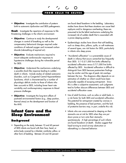#### **F R O M C E L L S T O S E L V E S**

<span id="page-15-0"></span>• **Objective:** Investigate the contribution of preterm birth to autonomic dysfunction and SIDS pathogenesis.

**Goal:** Investigate the repertoire of responses to lifethreatening challenges in the infant's environment.

- **Objective:** Continue to study the developmental changes in control of breathing as well as the compensatory behavioral changes required under conditions of reduced oxygen and increased carbon dioxide (rebreathing of expired air).
- • **Objective:** Evaluate mechanisms required to mount adequate cardiovascular responses to hypotensive challenges during the vulnerable period for SIDS.
- **Objective:** Understand the mechanisms underlying a possible shock-like response leading to sudden death in infants. Include studies of related autonomic disorders, such as Congenital Central Hypoventilation Syndrome, which is characterized by a number of physiologic deficits similar to those of infants who later succumb to SIDS, including lower heart rate variability and cardiorespiratory responses to blood pressure challenges.
- **Objective:** Investigate the long-term effects of postnatal environmental factors (e.g., sleep position, thermal stress) on the development and function of the ANS.

# **Infant Care and the Sleep Environment**

#### **Background**

• Depending on the study, between 10 and 60 percent of SIDS infants are found with their face, head, or entire body covered by a blanket, comforter, pillow, or other form of bedding. Between 25 and 50 percent

are found dead facedown in the bedding. Laboratory studies have shown that these situations can cause fatal asphyxia and/or dangerous overheating; these are presumed to be the lethal mechanisms underlying the increased risk of sudden death that is associated with a prone sleeping position.

- Epidemiologic studies have shown that soft bedding, such as sheep skins, pillows, quilts, or soft mattresses of several types, are risk factors for SIDS, particularly in infants who sleep prone.
- • "Accidental suffocation" is a preventable cause of death in infancy that occurs somewhat less frequently than SIDS: 0.1-0.5/1,000 live births affected by accidental suffocation versus 0.7/1,000 live births affected by SIDS. Accidental suffocation is difficult to distinguish from SIDS because postmortem findings may be similar and the age of peak risk overlaps between the two. The diagnosis often depends on an estimation of whether an infant would have been physically capable of escaping entrapment. Since this is often a subjective assessment, such judgments tend to further obscure differences between SIDS and accidental suffocation cases.
- Use of adult furniture, such as sofas or adult beds, is a risk factor for both SIDS and accidental suffocation. The potential for entrapment created by crevices in bedding, the presence of bed partners, and the lack of protective barriers may, in part, underlie this risk.
- Infants who are unaccustomed to sleeping on their stomachs are at risk for SIDS when they are put down prone or turn onto their stomachs spontaneously. A high percentage of such infants are found facedown at death. Studies suggest that head turning to avoid airway obstruction or rebreathing is a learned behavior.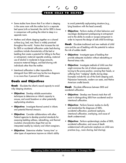- Some studies have shown that if an infant is sleeping in the same room with the mother but in a separate bed space (crib or bassinet), the risk for SIDS is lower in comparison with putting the infant to sleep in a separate room.
- Mothers and infants sleeping together on a shared surface (e.g. bed, mat, floor) is widely practiced throughout the world. Factors that increase the risk for SIDS or accidental suffocation under bed-sharing conditions include characteristics of the bed or bedding that create a potential for falling to the floor or entrapment, maternal cigarette smoking, maternal use of alcohol in moderate to large amounts, excessive maternal fatigue, and bed-sharing with individuals other than the mother.
- • Intentional suffocation is often impossible to distinguish from SIDS and may be the true diagnosis in no more than 5 percent of SIDS cases.

### **Goals and Objectives**

**Goal:** Elucidate the infant's neural capacity to avoid risky sleeping situations.

- • **Objective:** Develop reliable examination techniques to determine an infant's capacity to arouse, and avoid facedown or other potentially asphyxiating situations.
- • **Objective:** Investigate thermal control in infants and potential thermal stressors.
- • **Objective:** Consider collaborations with other Federal agencies to develop practical standards for assessing bedding softness, rebreathing, and thermal insulation characteristics (togs) that can be interpreted readily by industry and infant caregivers.
- • **Objective:** Determine whether "tummy time" or other types of experience improve an infant's ability

to avoid potentially asphyxiating situations (e.g., lying facedown with the head covered).

• **Objective:** Perform studies of infant behaviors and neurologic development predisposing to entrapment and to the ability to evade or escape entrapment in order to improve the design of safe child furnishings.

**Goal:** Elucidate traditional and new methods of child care and the use of bedding with the potential to reduce the risk of sudden death.

- **Objective:** Investigate types of bedding that provide adequate insulation without rebreathing or thermal-stress risks.
- • **Objective:** Investigate methods of child care that might minimize the risk of infants spontaneously turning to the prone position, covering their heads, or suffering from "wedging" deaths during sleep. Examples include the use of the Dutch sleeping sack, Polynesian hammocks, modern car seats, and Native American cradle boards.

**Goal:** Elucidate differences between SIDS and accidental suffocation.

- **Objective:** Develop new forensic tools that will assist in distinguishing SIDS from accidental and/or intentional suffocation.
- • **Objective:** Perform forensic studies to clarify and standardize the diagnoses of SIDS, accidental suffocation, positional asphyxia, intentional suffocation, overlaying, and cause of death undetermined.
- • **Objective:** Perform epidemiologic studies of SIDS, accidental suffocation, and cause of death undetermined with particular emphasis on child care practices (e.g., room sharing, bed sharing).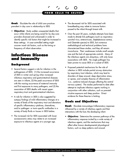

<span id="page-17-0"></span>**Goal:** Elucidate the role of child care practices prevalent in day care in relationship to SIDS.

**• Objective:** Study sudden unexpected deaths that occur while infants are being cared for by day-care providers (licensed and unlicensed) in order to identify specific risk factors that might be increased in these settings. A case-controlled setting might uncover novel risk factors, such as the timing or frequency of infant observation.

# **Infectious Disease and Immunity**

### **Background**

- Several factors suggest a role for infection in the pathogenesis of SIDS: (1) the increased occurrence of SIDS in winter and spring when increased infectious respiratory and gastrointestinal diseases are seen in infants, (2) the peak occurrence of SIDS with the waning occurrence of maternal immunity and first exposures to many pathogens, and (3) the association of SIDS deaths with recent upperrespiratory-tract and gastrointestinal infections.
- A role for infection in SIDS is also suggested by autopsy findings of mild inflammatory changes at a variety of levels of the respiratory tract and elevations of specific inflammatory cytokines, chemokines, and/or pathogen- or toxin-specific antibodies in a variety of body fluids or tissues in SIDS babies.
- The increased risk for SIDS associated with lower socioeconomic status may relate to an increased exposure to infectious agents at a younger age.
- The decreased risk for SIDS associated with breastfeeding may relate to immune factors passed to the infant through breast milk.
- Over the past 30 years, multiple attempts have been made to *directly* link pathogens (such as respiratory syncitial virus, enteroviruses, *Staphylococcus aureus,*  and *Clostridia* species) to SIDS, but numerous methodological and technical problems have characterized these studies, and they all remain inconclusive. Their weaknesses include small sample size and the lack of appropriate controls. Many of the infectious agents are ubiquitous, with only loose associations with SIDS. No single pathogen has been proven to cause SIDS or a subset of SIDS.
- Proposed potential mechanisms for the role of infection in SIDS include partial airway obstruction by respiratory tract infection, which may lead to disorders of sleep arousal, sleep deprivation stress, or apnea, and complex theories of inflammation (i.e., cytokine-induced changes affecting the central nervous system). The studies performed to date often attempt to implicate infectious agents working in conjunction with other cofactors, such as prenatal nicotine exposure and sleep position. Direct evidence for these theories is lacking.

# **Goals and Objectives**

Goal: Elucidate immunologic/inflammatory responses influenced by a variety of infectious agents and their interactions with the host, the developing infant.

• **Objective:** Determine the common pathways of the inflammatory response incited by a wide variety of infectious agents, and the mechanisms that may affect other known developmental physiological factors, such as sleep patterns and arousal.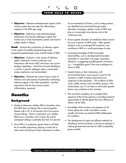- <span id="page-18-0"></span>• **Objective:** Determine developmental aspects of the immune system that may alter the inflammatory response in the SIDS age range.
- • **Objective:** Determine novel pathophysiologic mechanisms of particular pathogenic agents that involve one or more homeostatic systems and result in sudden death in infancy.

**Goal:** Examine the contribution of infectious agents in the context of carefully designed large-scale, prospective epidemiologic (case control) studies of SIDS.

- **Objective:** Analyze a wide variety of infectious agents, looking for common pathways and interactions with known SIDS risk factors and current etiologic hypotheses. Avoid bias towards identifying a role for a specific pathogen unless a particularly unique mechanism can be elucidated.
- **Objective:** Delineate the natural history (rates of infection and colonization) of potentially contributing infectious agents in the infant population, and their interactions with the host immune system (inflammatory response).

# **Genetics**

### **Background**

- Studies to determine whether SIDS is hereditary show that SIDS does not behave like a classical genetic disease with a 25- to 50-percent risk of occurrence among siblings. There is controversy over whether SIDS recurs in families, but if it does, the risk for subsequent siblings is probably less than 0.5 percent.
- Since SIDS is a syndrome, genetic factors will likely be of variable importance, playing a small role in some cases and being of major importance in others.

As environmental risk factors, such as sleep position, are identified and minimized through public education campaigns, genetic causes of SIDS may play an increasingly more decisive role in the remaining cases.

- Known genetic disorders of metabolism likely account for up to 5 percent of SIDS cases. Other genetic diseases, such as prolonged QT syndrome, may contribute to SIDS in a small percentage of cases.
- Increasing knowledge of SIDS-associated abnormalities, such as developmental brainstem anomalies or association with upper respiratory infections, is suggesting possible genetic risk factors (i.e., "susceptibility genes") that may predispose an infant to SIDS.
- Genetic factors or their interactions with environmental factors may account in part for the variations in SIDS incidence observed across subgroups of the population. The incidence of SIDS varies widely among racial and ethnic groups in the United States, yet it is not clear to what extent genetic factors may contribute to this variation.
- The successful completion of a complete DNA sequence of the human genome is providing research opportunities to identify genes that may influence an infant's risk for SIDS.
- • Knowledge of the structure and sequence of all human genes has made it possible to screen rapidly and easily any potential SIDS-related gene for mutations.
- The development of rapid and efficient methods for identifying natural variations in the human genome is making genomewide searches for SIDS-susceptibility genes possible.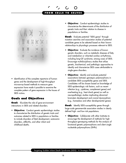# **F R O M C E L L S T O S E L V E S**

捃

• Identification of the complete repertoire of human genes and the development of high-throughput microarray-based methods to measure gene expression have made it possible to examine the complete pattern of gene expression in the tissues of SIDS victims.

### **Goals and Objectives**

**Goal:** Elucidate the role of gene-environment interactions in SIDS and related disorders.

**• Objective:** Conduct genetic epidemiologic studies to characterize the distribution of genetic traits and outcomes related to SIDS in populations or families to include disorders of fetal development, autonomic disorders, stillbirths, and other infant and childhood deaths.

**• Objective:** Conduct epidemiologic studies to characterize the determinants of the distribution of genetic traits and their relation to disease in populations or families.

**Goal:** Evaluate potential "SIDS genes" through mutation searches and association studies of potential candidate genes to be selected based on their known relationships to physiologic processes relevant to SIDS.

- • **Objective:** Evaluate the incidence of known genetic disorders, such as metabolic diseases of fatty acid metabolism or inherited cardiac arrhythmias, including long-QT syndrome, among cases of SIDS. Encourage multidisciplinary studies that utilize genetic, biochemical, and pathologic approaches to identify and characterize SIDS cases attributable to single-gene disorders.
- • **Objective:** Identify and evaluate potential associations between genotypic polymorphisms in candidate SIDS-susceptibility genes and SIDS. Candidates will be chosen based on knowledge of SIDS epidemiologic risk factors, such as recent infection (e.g., cytokines, complement genes) and overheating (e.g., heat shock genes) as well as neuropathologic studies implicating abnormal brainstem development and cranial dysmorphism (e.g., homeobox and other developmental genes).

**Goal:** Identify SIDS-susceptibility genes through large-scale genomewide association studies in clearly defined high- and low-risk populations.

• **Objective:** Collaborate with other Institutes to encourage the development of methods for highthroughput genotyping methods for the analysis of functional genetic polymorphisms and silent single nucleotide polymorphisms (SNPs).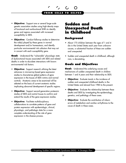- <span id="page-20-0"></span>**• Objective:** Support one or several large-scale genetic association studies using high-density maps of functional and nonfunctional SNPs to identify genes and regions associated with increased susceptibility to SIDS.
- • **Objective:** Conduct followup studies to determine the role(s) played by these genes in normal development and/or homeostasis, and identify particular environmental risk cofactors that may act in concert with each susceptibility gene.

**Goal:** Understand the "vulnerable" physiologic state of dysfunctional tissues associated with SIDS and related deaths in order to elucidate interactions with known environmental risk factors.

- **Objective:** Support research utilizing the latest advances in microarray-based gene expression studies to characterize global patterns of gene expression in the tissues of SIDS victims and normal controls. Anatomic areas to be examined will be selected on the basis of current anatomic studies implicating abnormal development of specific regions.
- **Objective:** Support second-generation proteomic studies of SIDS and control tissues to confirm and extend the results of the gene expression studies.
- • **Objective:** Facilitate multidisciplinary collaborations to correlate patterns of gene and protein expression with epidemiologic, clinical, physiologic, and pathologic data for a more complete understanding of the role of gene expression in the disease process.

# **Sudden and Unexpected Death in Childhood**

### **Background**

- About 175 children between the ages of 1 and 4 die in the United States each year from unknown causes, a substantial fraction of these are sudden and unexpected.
- Sudden and unexpected death in childhood, although rare, is devastating.

# **Goals and Objectives**

**Goal:** Understand the underlying causes and mechanisms of sudden unexpected death in children between 1 and 4 years and their relationship to SIDS.

- • **Objective:** Evaluate trends in the incidence of sudden and unexpected childhood deaths in the United States and abroad from 1985 to the present.
- **Objective:** Evaluate the relationship between these deaths and SIDS by investigating the epidemiology, genetics, and pathology of these cases.
- • **Objective:** Evaluate the contribution of inborn errors of metabolism and cardiac arrhythmias to the cause of death in these cases.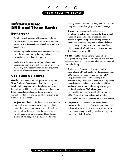# <span id="page-21-0"></span>**Infrastructure: DNA and Tissue Banks**

## **Background**

- Developmental banks provide an opportunity for investigators to obtain samples from victims of rare disorders and deceased normal controls, which are equally rare.
- Establishing banks permits adequate sample sizes to be collected more quickly than any individual researcher is capable of doing alone.
- Banks follow standard clinical, pathologic, and biochemical protocols, which facilitate uniformity in the quality of the research material and ensure the collection of necessary case information.

# **Goals and Objectives**

Goal: Continue the NICHD-sponsored "Brain and Tissue Banks for Developmental Disorders" program, which banks samples of normal and diseased brain tissues from fetal life through adolescence. These brain banks make clinicopathologic data available for correlation with brain findings and have proven to be useful for SIDS research.

• **Objective:** These banks should have provisions to permit different investigators working on different parts of the same brain to compare their findings; similarly, they should facilitate the correlation of investigators' systemic findings in different organ systems of the body. In this way, all the findings

relating to one case could be integrated, and a more complete clinicopathologic picture would emerge.

• **Objective:** Encourage the collection and annotation of pathologic specimens for biochemical studies of gene and protein expression, and infectious agents. Support the development of a centralized database listing availability and clinical and pathologic characteristics of specimens from critical tissues of SIDS victims, such as the brainstem, liver, bone marrow, and blood.

**Goal:** Facilitate future genetic studies of SIDS through the development of DNA and tissue banks for specimens from SIDS victims and relatives, including full and half-siblings.

- • **Objective:** Support the development of a comprehensive DNA bank to include specimens from SIDS victims, their parents, and siblings. DNA samples should be linked to phenotypic data collected through new and existing NICHD-supported clinical studies. Coded DNA samples should be made available to qualified investigators for genetic studies of candidate SIDS-related genes and genomewide searches for genetic risk factors for SIDS. Prospective informed consent will allow recontact of families for appropriate followup studies.
- **Objective:** Consider utilizing nontraditional sources for the collection of biologic specimens, such as banked blood spots, or specimens banked from past or ongoing epidemiologic studies of pregnant women and their offspring.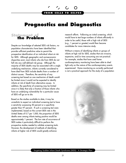# <span id="page-22-0"></span>**Prognostics and Diagnostics**

# **Statement of the Problem**

Despite our knowledge of selected SIDS risk factors, no population characteristics have been identified that provide sufficient predictive value to permit the prospective identification of an individual infant at risk for SIDS. Although geographic and socioeconomic disparities exist, most infants who die from SIDS do not fall into any well-defined risk group. Although the majority of SIDS deaths may be associated with a single underlying mechanism, infants currently considered to have died from SIDS include deaths from a number of distinct causes. Therefore, the sensitivity of any screening test based on one mechanism of death would be limited since it would not be expected to identify infants at risk of death from alternative causes. In addition, the specificity of screening may be limited since it is likely that only a fraction of those infants who have an underlying vulnerability for a particular cause of SIDS will go on to die.

Based on the studies available to date, it may be unrealistic to expect an individual screening test to have a sensitivity surpassing 50 percent or a specificity greater than 97 percent. If such a screening test were implemented, based on the current SIDS rate in the United States of 0.7 per 1,000, the proportion of SIDS deaths even among infants testing positive would be approximately 1 percent. The low rate of occurrence of SIDS makes it particularly difficult to perform the prospective studies needed to validate screening tools. However, the development of methods of identifying infants at higher risk of SIDS would greatly enhance

research efforts. Following an initial screening, which would have to test large numbers of infants efficiently in order to be useful, those with a high risk of SIDS (e.g., 1 percent or greater) would then become candidates for more intensive study.

Without a means of identifying infants or groups of infants at high risk for SIDS, studies that are invasive, expensive, and/or time consuming are not practical. For example, studies that have used home cardiorespiratory monitoring have been able to shed light only on the nature of the cardiorespiratory events experienced. Home monitoring as currently performed is not a practical approach for the study of a population

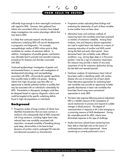sufficiently large enough to draw meaningful conclusions with regard to SIDS. However, data gathered from infants who succumbed while on monitors have helped shape investigations into certain physiologic deficits that may lead to SIDS.

It is likely that continued research into the basic mechanisms underlying SIDS will nourish developments in prognostics and diagnostics. For example, neuropathologic studies of SIDS victims point to likely candidates for markers of autonomic deficits. In addition, investigations of possible genetic contributions may ultimately lead to prenatal and neonatal screening procedures for diseases and disorders associated with SIDS.

Continued epidemiologic investigation of genetic and environmental factors, in concert with investigations of developmental physiology and neuropathology associated with SIDS, will provide far greater specificity than possible today to define risk groups. Studying infants from high-risk groups may then offer an opportunity to identify potential markers or profiles that may be associated with an individual's vulnerability for SIDS. Preventative or therapeutic strategies could then be designed based on rigorous diagnostic criteria and could be targeted at the specific underlying deficits found in high-risk populations or individuals.

#### **Background**

• Prospective studies of large numbers of infants have identified characteristics that are more common in newborns who subsequently died of SIDS compared with living newborns, including higher heart rates, reduced heart rate variability associated with respiration, increased variability of breathing during quiet sleep, abnormalities in the beat-to-beat dynamics of cardiac control, prolonged QT intervals, and abnormal acoustical cry characteristics.

- Prospective studies replicating these findings and evaluating the relationship of each of these variables to one another have not been done.
- • Alternative linear and nonlinear methods of measuring heart rate variability have been proposed as markers of autonomic instability. Among linear analyses, time and frequency domain approaches are used to exploit heart rate rhythms as a means of assessing maturation of cardiac and ANS control during the fetal and early infant period. Since decreased heart rate variability under different conditions—e.g., during deep sleep or in the prone position—may be a sign of autonomic impairment, this measure may provide a means of very early assessment of risk for autonomic dysfunction during the late fetal and neonatal periods.
- Nonlinear analyses of instantaneous heart interval have been useful in identifying adults with cardiac disease who are at imminent risk of heart attack. These alternative approaches for evaluating heart rate variability may provide an opportunity to better quantify disturbances in heart rate variability that have been found using more conventional approaches to study SIDS.
- The heart rate response following postural adjustment (tilt) is a reliable measure of the competence of neural mechanisms to process and respond to sudden changes in blood pressure. The degree of vasoconstriction in response to tilt is also emerging as a promising measure of ANS development. During the vulnerable period for SIDS, infants have diminished responses to this type of challenge.
- Studies that have utilized home monitoring have been able to shed light only on the nature of cardiorespiratory events experienced. Home monitoring as currently performed is not a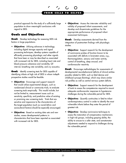practical approach for the study of a sufficiently large population to draw meaningful conclusions with regard to SIDS.

**FROM CELLS TO SELVES** 

### **Goals and Objectives**

**Goal:** Develop technology for assessing SIDS risk factors in large populations.

• **Objective:** Utilizing advances in technology, including digital storage capacity and signal processing techniques, develop systems capable of efficiently processing physiologic and other signals that have been or may be described as associated with increased risk for SIDS, including heart rate and blood pressure coherence and variability, QT interval, breathing rate variability, and cry acoustics.

**Goal:** Identify screening tests for SIDS capable of identifying infants at high risk of SIDS in whom indepth prospective studies would be feasible.

- • **Objective:** Encourage and support research that would utilize experimental designs, such as randomized clinical or community trials, to evaluate screening tools empirically. This would include, but not be limited to, measurement issues such as sensitivity, specificity, and predictive value of existing or promising new screening tools. Trials that are sensitive and responsive to the characteristics of the target population (such as racial/ethnic and sociocultural factors) should be especially encouraged.
- • **Objective:** Based on existing data sets and new studies, assess developmental patterns in characteristics that have been reported as associated with increased risk for SIDS.

**• Objective:** Assess the interrater reliability and validity of proposed infant assessments, and develop and disseminate guidelines for the appropriate performance of proposed infant assessment techniques.

**Goal:** Develop assessments derived from the integration of postmortem findings with physiologic studies.

• **Objective:** Support research for the development of noninvasive probes of function known to be associated with deficits in brainstem areas, e.g., thermoregulation, sensory and motor activity, control of breathing, sleep arousal, and cardiovascular reactivity.

**Goal:** Encourage methodologies for assessments of developmental neurobehavioral deficits of clinical entities possibly related to SIDS, such as fetal demise and childhood syncope (fainting), which may share similar risk profiles as well as central nervous system deficits.

- • **Objective:** Support research for the development of tools to assess the competencies required to mount adequate cardiovascular responses to hypotensive challenges during the vulnerable period for SIDS.
- • **Objective:** Quantify continuities in fetal-to-infant cardiorespiratory control in order to identify the most vulnerable infants before they enter the period of greatest risk.
- **Objective:** Develop noninvasive techniques to assess the maturation of compensatory mechanisms in high-risk groups, including gasping ability, the ability to arouse to a safer state, and somatomotor adjustments needed to respond to challenges during the vulnerable period.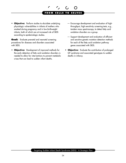**• Objective:** Perform studies to elucidate underlying physiologic vulnerabilities in infants of mothers who smoked during pregnancy and in low-birthweight infants, both of which are at increased risk of SIDS according to epidemiologic studies.

Goal: Evaluate prenatal and neonatal screening procedures for diseases and disorders associated with SIDS.

• **Objective:** Development of improved methods for the early detection of fatty acid oxidation disorders is needed to allow for interventions to prevent metabolic crises that can lead to sudden infant deaths.

- Encourage development and evaluation of highthroughput, high-sensitivity screening tests, e.g., tandem mass spectroscopy, to detect fatty acid oxidation disorders as a group.
- Support development and evaluation of efficient and sensitive genetic mutation detection methods for each of the fatty acid oxidation pathway genes associated with SIDS.
- **Objective:** Evaluate the contribution of prolonged QT syndrome and associated genotypes to sudden deaths in infancy.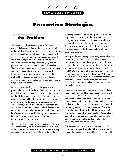# **Preventive Strategies**

# <span id="page-26-0"></span>**Statement of the Problem**

When we think of preventing disease, the classic example is infectious disease. In this case, vaccination and public health strategies to reduce the exposure to an infectious agent protect individuals from contracting the infection. However, most human diseases and disorders result from multiple interacting factors that include individuals' genetic makeup, their lifestyles, and the physical and cultural environment in which they live. Thus, when we are concerned with prevention strategies, we must understand the extent to which particular factors in the population increase or decrease the probability of disease development. Those factors deemed to most strongly influence the degree of risk are targeted for intervention.

In the section on Etiology and Pathogenesis, we presented a triple-risk model for SIDS. According to this model, if we can eliminate prenatal factors that increase the risk of developmental abnormalities in the fetus, we may reduce the likelihood of a SIDS death. If we can positively alter the developmental trajectory during the critical period, we may also reduce the likelihood of a SIDS event. Removing environmental risk factors in the critical period that are hazardous to the infant may also be effective in reducing risk. Placing an infant on the back to sleep is an excellent example of reducing a major environmental risk factor.

The more we know about how risk factors contribute to SIDS pathogenesis, the more confident we can be that an infant will not succumb to SIDS. SIDS occurs during the early months of an infant's life, when he or she is

extremely dependent on the caregiver. It is a time of adjustment and learning for the infant and the caregiver, as each gets to know the other and the baby becomes familiar with the extrauterine environment. The early months are also a time of rapid growth and development, with changing nutritional and sleep requirements.

To prepare for these changes, the baby needs a healthy start during the prenatal period. What are the requirements for normal development? What factors increase the likelihood that the developmental process will go awry? How can we reduce the risk that they might? Our knowledge of human development in fetal life and early infancy is still quite limited. Although research on SIDS risk factors has identified prenatal and postnatal environmental characteristics and care practices that are critical to healthy outcomes, more research is needed.

Historically, women are the primary decision-makers for family health care and the major caregivers for infants, children, and elderly relatives. In modern times, additional demands and stresses occur as more and more women work outside the home as well as within it. Furthermore, the proportion of single-parent households headed by women continues to increase. Therefore, preventive strategies targeting SIDS must, of necessity, also address issues of women's health. Women's health during the periconceptional, prenatal, and postnatal periods profoundly influences the health of the developing fetus and the newborn.

Since we cannot presently identify those individual infants who are predisposed to SIDS, any intervention aimed at reducing the risk of SIDS must be designed for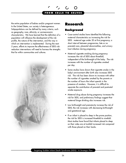<span id="page-27-0"></span>the entire population of babies and/or pregnant women. In the United States, our society is heterogeneous. Subpopulations can be defined by many criteria, such as geography, race, ethnicity, or socioeconomic characteristics. We have learned that the definition of a population will influence the development of the risk profile, the nature of the intervention, and the way in which an intervention is implemented. During the next 5 years, efforts to improve the effectiveness of SIDS riskreduction interventions will need to harness the strengths that lie within communities and cultures.



# **Research**

### **Background**

- Case-control studies have identified the following maternal characteristics as increasing the risk for SIDS: maternal age under 20 at first pregnancy, a short interval between pregnancies, late or no prenatal care, placental abnormalities, and urinary tract infection during pregnancy.
- Maternal cigarette smoking during pregnancy increases the risk of SIDS about threefold, independent of the birthweight of the baby. The risk increases with the number of cigarettes smoked per day.
- Some studies have shown that cigarette smoke in the baby's environment after birth also increases SIDS risk. The risk has been shown to increase with either the number of cigarettes smoked by the parents or the number of hours the infant spends in the presence of smokers. However, it is difficult to separate the contribution of prenatal and postnatal smoke exposure.
- Maternal drug abuse during pregnancy increases the risk for SIDS, and preliminary findings suggest that maternal binge drinking also increases risk.
- Low birthweight and prematurity increase the risk of SIDS; the risk increases with decreasing birthweight and gestational age.
- If an infant is placed to sleep in the prone position, the risk for SIDS is increased threefold to ninefold. Most studies have found that infants placed to sleep on their sides are at twofold increased risk compared with those placed on their backs.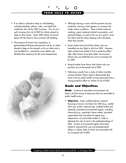- If an infant is placed to sleep on soft bedding, including blankets, pillows, sofas, and adult bed mattresses, the risk for SIDS increases. The use of a quilt increases the risk of SIDS for infants placed to sleep on their backs. Many SIDS infants are found dead with the head or face covered with bedding.
- The presence of recent viral, respiratory, or gastrointestinal illnesses enhances the risk for an infant placed to sleep on the stomach or for an infant who is over bundled (i.e., covered by more clothes and blankets than necessary for the room temperature).



- Although sharing a room with the parents may be protective, sharing a bed appears to increase risk under certain conditions. These include maternal smoking, recent maternal alcohol consumption, and parental fatigue, as well as the use of a quilt to cover the infant and the infant sleeping with individuals other than parents.
- Some studies have found that infants who are breastfed are less likely to die from SIDS. However, other studies have failed to find a protective effect after other factors have been taken into account. Infants who are bottle-fed are not at increased risk for SIDS.
- Several studies have shown that infants who use pacifiers are at decreased risk of SIDS.
- Preliminary results from a study of infant mortality among Northern Plains Indians demonstrate that home visits by public health nursing personnel have a strong protective effect on infants at risk of SIDS.

# **Goals and Objectives**

Goal: Continue to elucidate environmental risk factors and the timing of exposures that are amenable to public health action.

**• Objective:** Foster multidisciplinary research focusing on known risk factors for SIDS (e.g., smaller birth size, earlier maternal age, multiple births) and relatively unstudied environmental agents, including chemicals (e.g., pesticides, heavy metals, persistent organochlorines) and physical agents (e.g., temperature, air particulate matter) in order to delineate the role of each in the pathophysiology of SIDS. Certain environmental agents have been linked to reduced birth size and developmental delays in infants, both of which are associated with an increased risk of SIDS.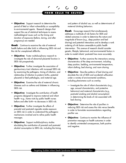**• Objective:** Support research to determine the period of fetal or infant vulnerability or susceptibility to environmental agents. Research designs that support the use of statistical techniques to assess methodological issues such as the timing and duration of exposures (before, during, and after pregnancy) are needed.

Goal: Continue to examine the role of maternal health before and after birth in influencing SIDS risk and the risk for unexplained stillbirths.

- • **Objective:** Foster multidisciplinary research to investigate the role of abnormal placental function in SIDS risk prospectively.
- • **Objective:** Further investigate the association of genitourinary tract infections with increased SIDS risk by examining the pathogens, timing of infection, and relationship of infection to preterm births, potential placental or fetal pathologies, and maternal age.
- **Objective:** Examine the role of maternal chronic diseases such as asthma and diabetes in influencing SIDS risk.
- **Objective:** Investigate the contribution of health programs designed to improve maternal and infant health—e.g., home visits by public health nurses before and after birth—to decreases in SIDS risk.
- **Objective:** Further investigate the effects of prenatal and postnatal cigarette smoke exposure on SIDS risk in order to understand the pathogenic mechanisms involved and to refine public health messages.
- **Objective:** Support multidisciplinary studies elucidating the contribution of prenatal and postnatal alcohol consumption to SIDS risk, including the timing

and pattern of alcohol use, as well as determinants of maternal drinking behaviors.

**Goal:** Encourage research that simultaneously addresses a multitude of risk factors for SIDS and related outcomes in order to determine the nature and magnitude of known (e.g., sleep position and bed sharing) and potential interactions and to develop a rank ordering of risk factors amenable to public health intervention. This avenue of research should consider genetic, lifestyle, behavioral, and environmental factors in order to model infants' postnatal lives more accurately.

- **Objective:** Further examine the interactions among characteristics of the sleep environment, including sleep position, bedding, environmental temperature, infant clothing, bed sharing, and room sharing.
- • **Objective:** Describe patterns of bed sharing and elucidate the risk of SIDS and accidental suffocation under a variety of environmental conditions, including phenomena such as overlay.
	- Investigate the role of infant characteristics (e.g., age, arousal characteristics, and protective behaviors) and maternal characteristics (e.g., postnatal smoking and alcohol consumption) in determining the levels of risk associated with bed sharing.
- • **Objective:** Determine the role of pacifiers in reducing SIDS risk and assess the risks versus benefits in order to formulate recommendations regarding pacifier use.
- • **Objective:** Continue to monitor the influence of prevention messages on health outcomes in order to identify unintended consequences, both positive and negative.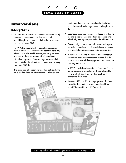# <span id="page-30-0"></span>**Interventions**

# **Background**

- In 1992, the American Academy of Pediatrics (AAP) released a recommendation that healthy infants should be placed to sleep on their sides or backs to reduce the risk of SIDS.
- In 1994, the national public education campaign, *Back to Sleep*, was launched by a coalition consisting of the U.S. Public Health Service, the AAP, the SIDS Alliance, and the Association of SIDS and Infant Mortality Programs. The campaign recommended that infants be placed on their backs or sides to sleep to reduce SIDS risk.
- The campaign also recommended that babies should be placed to sleep on a firm mattress. Blankets and

comforters should not be placed under the baby, and pillows and stuffed toys should not be placed in the crib.

- Secondary campaign messages included maintaining a "smoke-free" zone around the baby before and after birth, and regular prenatal and well-baby care.
- The campaign disseminated information to hospital nurseries, physicians, and licensed day care centers and initiated public media campaigns nationwide.
- • In 1996, the AAP and the *Back to Sleep* campaign revised the basic recommendation to state that the back is the preferred sleeping position and safer than sleeping on the side.
- In 1999, in collaboration with the Consumer Product Safety Commission, a safety alert was released to remove all soft bedding, including quilts and comforters, from cribs.
- Between 1992 and 1998, the proportion of infants placed to sleep on their stomachs declined from about 70 percent to about 17 percent.



Targeting Sudden Infant Death Syndrome (SIDS): A Strategic Plan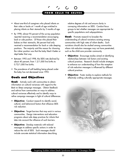#### **F R O M C E L L S T O S E L V E S**

- About one-third of caregivers who placed infants on their sides or backs at 1 month of age switched to placing infants on their stomachs by 3 months of age.
- • By 1998, almost 95 percent of the survey population reported receiving a recommendation encouraging back or side position. Of those who placed their babies on their stomachs, 86 percent had only received a recommendation for back or side sleeping positions. The majority said the reason for choosing the riskier position was that the baby liked it better or slept better that way.
- Between 1992 and 1998, the SIDS rate declined by about 40 percent, from 1.2/1,000 live births to 0.72/1,000 live births.
- The prevalence of soft bedding being placed under the baby has not decreased since 1992.

### **Goals and Objectives**

**Goal:** Actively work with communities to obtain information on cultural variances with regard to the *Back to Sleep* campaign messages. Obtain feedback and advice from communities on ways to address cultural variances effectively and to identify ways to refine campaign messages in light of cultural differences.

- • **Objective:** Conduct research to identify social, cultural, and behavioral factors that influence SIDS risk reduction.
- • **Objective:** Target barriers that may exist in various communities. Design interventions and education programs about safe sleep practices for infants that take into account the influence of such barriers.
- • **Objective:** Develop materials with tailored messages to address specific actions in order to reduce the risk of SIDS. Such messages should include concrete statistical information describing

relative degrees of risk and ensure clarity in conveying information on SIDS. Conduct focus groups to test whether messages are appropriate for specific populations and subpopulations.

**Goal:** Promote research to broaden the understanding of cultural variations existing among communities with high rates of infant deaths. Such variations should also be studied among communities where risk-reduction messages may not have penetrated, such as the child-care provider community.

- **Objective:** Encourage studies aimed at identifying relationships between risk factors and existing cultural practices. Research should include strategies to enhance our understanding of how the reception of risk-reduction messages is influenced by different cultural practices.
- • **Objective:** Foster studies to explore methods for effectively crafting culturally appropriate messages.

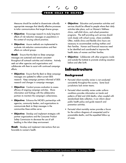<span id="page-32-0"></span>Measures should be studied to disseminate culturally appropriate messages that identify effective processes to tailor communications that target diverse groups.

- • **Objective:** Encourage research to study long-term effects of risk-reduction messages on populations in the context of varying cultural practices.
- • **Objective:** Assure methods are implemented to evaluate risk-reduction communications and their effects on cultural groups.

**Goal:** Ensure that the *Back to Sleep* campaign messages are sustained and remain consistent throughout all outreach activities and initiatives. Actively seek out other agencies and organizations and collaborate with them to assist with continued campaign efforts.

- • **Objective:** Ensure that the *Back to Sleep* campaign messages are updated to reflect current SIDS research. Keep campaign partners informed of SIDS research and changes in campaign messages.
- • **Objective:** Conduct process evaluation to assess efficacy of ongoing campaign activities. Share information and findings with the collaborative partners to maintain the campaign's cohesiveness.
- • **Objective:** Enhance the NICHD's partnerships with agencies, community leaders, and organizations to communicate *Back to Sleep* messages in the communities these entities serve.
- • **Objective:** Develop and implement strategies with partner organizations and the Consumer Product Safety Commission to decrease the use of soft bedding in the infant sleep environment.

**Goal:** Develop and implement interventions that are favorable to women's health.

- **Objective:** Education and prevention activities and services should be offered to people where their daily activities take place, such as Women's Wellness clinics, well-child clinics, and school prevention programs. The staff providing such services should work closely with school nurses, where available. Often, mobile clinics and flexible clinic hours are necessary to accommodate working mothers and their families. Human and financial resources need to be identified and coordinated to improve the health status of women and their families.
- • **Objective:** Collaborate with other programs inside and outside the Institute to promote smoking cessation before and after birth.

# **Infrastructure**

# **Background**

- Perinatal infant mortality review is not conducted consistently throughout the country. Some local jurisdictions lack review teams.
- Perinatal infant mortality review under uniform conditions provides information on trends and patterns of fetal and child deaths; when coupled with standardized data collection, it can inform about public health policy and guide research and prevention activities.
- Perinatal infant mortality review provides a forum for the uniform diagnosis of unexpected and/or preventable deaths, and the expedited follow-up of cases.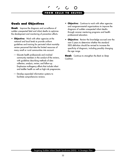# **Goals and Objectives**

**Goal:** Improve the diagnosis and surveillance of sudden unexpected fetal and infant deaths to optimize the development and monitoring of prevention efforts.

- • **Objective:** Work with other agencies at the national and local levels to provide uniform guidelines and training for perinatal infant mortality review personnel that take the limited resources of many small or rural communities into account.
	- — Educate health professionals and involved community members in the conduct of the reviews, with guidelines describing methods of data collection, analysis, review, and follow-up. Emphasize multiagency efforts that include infant and toddler health as well as high-risk pregnancies.
	- Develop expanded information systems to facilitate comprehensive reviews.
- **Objective:** Continue to work with other agencies and nongovernmental organizations to improve the diagnosis of sudden unexpected infant deaths through coroner mentoring programs and healthprofessional education.
- **Objective:** Review the knowledge accrued over the next 5 years to determine whether the standard SIDS definition should be revised to increase the specificity of diagnosis, including possibly changing the age range.

**Goal:** Continue to strengthen the *Back to Sleep*  Coalition.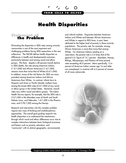

# **Health Disparities**

# <span id="page-34-0"></span>**Statement of the Problem**

Eliminating the disparities in SIDS rates among minority communities is one of the most important and challenging problems facing SIDS researchers in the new millennium. The NICHD defines health disparities as differences in health and developmental outcomes, particularly between and among racial and ethnic groups. The facts: despite a 40-percent overall decline in SIDS deaths, the rate among American Indians (1.5/1,000) and African Americans (1.4/1,000) remains more than twice that of Whites (0.6/1,000). In addition, many of the risk factors for SIDS are more prevalent among American Indians and African Americans than Whites. In contrast, infants born to Hispanic and Asian or Pacific Islander mothers have among the lowest SIDS rates (0.4/1,000) of any racial or ethnic group in the United States. Moreover, overall rates vary within racial and ethnic groups. The Indian Health Service reports, for example, that the SIDS rate is 3.5/1,000 in the Aberdeen area of North and South Dakota, Iowa, and Nebraska, 1.6/1,000 in the Phoenix area, and 0.78/1,000 among the Navajo.

Research and intervention into this complex problem require new ways of thinking and multidisciplinary approaches. The overall goal guiding research into health disparities is to understand the mechanisms through which racial and ethnic differences occur due to complex interactions between basic biological processes and factors such as poverty, education, and "community" with its distinct geographic, environmental, and cultural realities. Disparities between American Indians and Whites and between African Americans and Whites in regard to SIDS have, in part, been attributed to the higher level of poverty in these minority populations. The poverty rate, for example, among African Americans is more than twice that among Whites. For American Indians residing on a reservation, the poverty rate is 2.4 times that of the general U.S. figure of 13.1 percent. Aberdeen, Navajo, Billings, Albuquerque, and Phoenix all have poverty rates exceeding 40.0 percent. More specifically, 13.4 percent of American Indian women age 16 and older are unemployed, in contrast with 6.2 percent of women of all races nationwide.



Targeting Sudden Infant Death Syndrome (SIDS): A Strategic Plan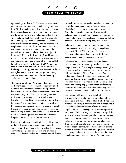Epidemiologic studies of SIDS prevalence rates have demonstrated the relevance of the following risk factors for SIDS: low family income; low parental educational levels; young (teenage) maternal age; maternal single marital status; few and often late prenatal healthcare visits; maternal illicit drug, alcohol, and/or cigarette intake during pregnancy; the presence of sexually transmitted diseases in mothers; and the absence of a telephone in the home. These risk factors are more common in impoverished communities than in the general population as a whole. Another major risk factor for SIDS is low birth weight. Disparities among different racial and ethnic groups likewise occur here: African American infants are more than twice as likely to be born with a low birthweight (<2500g) and more than 3 times as likely to be born with a very low birthweight (<1500g) than are white neonates. Of note, the higher incidence of low birthweight rate among African American infants cannot be explained by socioeconomic factors alone.

The remoteness of many American Indian reservations and other types of rural communities frequently affects access to preconceptional, prenatal, and postnatal health care. It likewise affects the coroner's system and the correct diagnosis of SIDS, since it magnifies the difficulties in performing a proper death scene investigation. In addition, the inequity of care evident in the coroner's system on the reservation is exacerbated by improper, and in some instances a complete lack of, training of the coroner and other personnel responsible for examining sudden infant deaths. Inconsistencies in death scene investigations also often result from the frequent turnover of coroners in rural areas.

Lack of access to care, inequities in the quality of care, and other barriers are more common in minority communities. It is not known to what extent these factors contribute to disparities in SIDS risk and prevalence rates. Such factors need to be examined through further research. Moreover, it is unclear whether perceptions of racial discrimination or reported incidences of discrimination affect the maternal-fetal environment. Given the complexity of our social systems and the potential negative effects these factors may have on the lives of infants and their families, it is imperative that we continue to support efforts exploring these issues.

Little is also known about the protective factors that operate within certain poor minority communities to decrease SIDS risk. Why do Hispanics and some American Indian populations have low SIDS rates, despite adverse socioeconomic circumstances?

Differences in SIDS rates among racial and ethnic groups cannot be explained by social or economic inequalities alone. For example, when epidemiologists correct for socioeconomic factors, an excess risk for SIDS remains in the African American and American Indian populations. This observation suggests that biological factors—e.g., susceptibility genes—may play important roles in the pathogenesis of SIDS in specific racial and ethnic groups; certain genes predisposing infants to premature birth or sudden death may prove to be more prevalent in some populations than in others.

Such susceptibility genes may interact with environmental factors to trigger a cascade of intrinsic biological events that lead to sudden death. It has been reported, for example, that nicotine from tobacco smoke is metabolized more slowly in African American populations. This putative genetic variation suggests that toxic levels of nicotine may accumulate more rapidly in African American fetuses exposed to maternal cigarette smoking during pregnancy, thereby having a more deleterious effect on their growth and development. Thus, maternal cigarette smoking during pregnancy may make a greater contribution to the risk of SIDS among African Americans than it does among whites. It is also well recognized that SIDS is a syndrome and that there may be more than one mechanism of sudden death.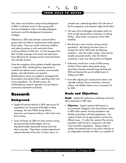<span id="page-36-0"></span>Thus, there may be factors unique to the pathogenesis of SIDS in individual racial or ethnic groups that must be considered in order to elucidate pathogenic mechanisms and the development of preventive strategies.

Differences in SIDS rates between racial and ethnic groups need not relate to socioeconomic and/or genetic factors alone. They may involve community traditions and cultural practices as well, particularly those involving methods of child care. For the message of the *Back to Sleep* campaign to be heard and acted upon, those delivering the message must be community-based and culturally sensitive.

Given the complexity of the problem of health disparities in regard to SIDS, multidisciplinary approaches to research into relevant social, economic, environmental, genetic, and cultural factors are essential. Multidisciplinary teams are needed to investigate both the protective and adverse factors operating within and across populations. For ultimate success, the multidisciplinary research approach must be linked to community involvement at all levels.

# **Research**

### **Background**

- Despite 40-percent declines in SIDS rates across all populations over the period of the *Back to Sleep*  campaign, the rate of SIDS among African Americans and American Indians is still at least twice that of whites.
- Some risk factors for SIDS are more common among the economically disadvantaged, who are disproportionately represented among racial and ethnic minorities. These factors include maternal and paternal education of less than 12 years, late or no

prenatal care, maternal age below 20 at the time of the first pregnancy, and maternal single marital status.

- The rates of low birthweight and preterm birth are twice as high among African Americans as among Whites. These factors increase the risk for SIDS threefold.
- Bed sharing is more common among minority populations. Bed sharing has been shown to increase the risk for SIDS under the following conditions: when the mother smokes, when she has recently consumed alcohol, when the infant is covered by a quilt, and when parents are fatigued.
- Preliminary results from a study of SIDS among Northern Plains Indians demonstrate strong associations between prenatal binge drinking and SIDS and between the use of multiple layers of clothing and SIDS.
- Even after adjusting for socioeconomic factors and cigarette smoking, African Americans, American Indians, and Alaskan Natives are at increased risk for SIDS.

#### **Goals and Objectives**

**Goal:** Identify the mechanisms underlying racial and ethnic disparities in SIDS rates.

• **Objective:** Support research that focuses on environmental, biological, and cultural factors related to SIDS within specific minority populations and develop partnerships with these populations. The analysis of data can be approached in at least two different ways: (1) within the context of the minority population itself and (2) in comparison with other racial and ethnic populations. Design studies to address the potential role of race and/or ethnicity as an independent risk factor for SIDS, as a modifier of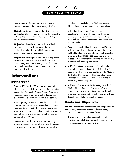

<span id="page-37-0"></span>other known risk factors, and as a confounder or intervening event in the natural history of SIDS.

- • **Objective:** Support research that delineates the contribution of genetic and environmental factors that influence the risk of SIDS, including potential geneenvironment interactions.
- • **Objective:** Investigate the role of inequities in prenatal and postnatal health care that are contributing to the disparate SIDS rates evident in various racial and ethnic groups.
- • **Objective:** Investigate the role of culturally specific patterns of infant care practices in disparate SIDS rates among racial and ethnic groups. Such care practices include infant sleep position, bed sharing, and types of bedding.

# **Interventions**

### **Background**

- Between 1992 and 1998, the proportion of infants placed to sleep on their stomachs declined from 70 percent to 17 percent. Among African Americans in the survey population, however, the decline was significantly less: from 82 percent to 32 percent.
- After adjusting for socioeconomic factors, and for whether they received a recommendation to place infants on their backs to sleep, African Americans were twice as likely to place infants on their stomachs and half as likely to place infants on their backs as compared with Whites.
- Between 1992 and 1998, the SIDS rate among African Americans decreased by almost 40 percent, a magnitude similar to that observed in the White

population. Nonetheless, the SIDS rate among African Americans remained twice that of whites.

- Within the Hispanic and American Indian populations, there are subpopulations based on country of origin or tribe that are more likely to place babies on their stomachs to sleep rather than on their backs.
- Sleeping on soft bedding is a significant SIDS risk factor among all minority populations. The use of soft bedding has not changed appreciably since the initiation of the *Back to Sleep* campaign and the release of recommendations from the AAP and CPSC to remove soft bedding from the crib.
- • In 1999, the *Back to Sleep* campaign initiated an outreach component aimed at the African American community. It formed a partnership with the National Black Child Development Institute and other African American leadership organizations to develop a community-linked campaign.
- In 2000, a "Resource Kit for Reducing the Risk of SIDS in African American Communities" was produced and a plan for national and local training programs was developed. In 2001, training activities through the affiliate organizations began.

### **Goals and Objectives**

**Goal:** Improve the dissemination and adoption of the *Back to Sleep* campaign recommendations among minority populations in the United States.

• **Objective:** Integrate knowledge of cultural practices and beliefs into approaches formulated to reach specific minority populations.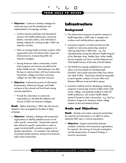- <span id="page-38-0"></span>**• Objective:** Continue to develop strategies for community input into the development and implementation of campaign activities.
	- Conduct training workshops and educational sessions with health professionals, community leaders, outreach workers, and individuals to develop methods for working locally in SIDS riskreduction activities.
	- Work on existing health promotion projects within organizations that will enhance their scope and infrastructure by incorporating SIDS risk reduction strategies.
	- Among American Indian communities, involve tribal programs and services provided by the Indian Health Service. Tribal educators are often the keys to communication with local communities. Universities, colleges and tribal community colleges can also offer important resources.
- **Objective:** Evaluate the process of information dissemination, behavioral change, and health outcomes at the national and local levels among minority populations.
	- Provide this information to community organizations to stimulate the adoption and revision of SIDS risk-reduction strategies.

**Goal:** Reduce disparities in SIDS rates that may be related to risks not targeted by the *Back to Sleep*  campaign.

**• Objective:** Develop a dialogue with partnership organizations to identify potential sources of risk within specific communities. Disseminate research data relevant to specific communities in order to support existing health promotion programs or to develop interventions. An example is the reduction of prenatal alcohol exposure among some American Indian tribal communities.

# **Infrastructure**

### **Background**

- The infrastructure necessary to perform research in health disparities in SIDS rates is complex and involves novel multidisciplinary approaches.
- Innovative programs currently exist that provide models for community partnerships aimed at reducing disparities in SIDS rates: e.g., the interrelationship among the Women's Health Program of the Aberdeen Area, Healthy Start, Indian Health Service hospitals and clinics, and the Maternal and Child Health Division of the state of South Dakota.
- The NICHD has already established two national "Brain and Tissue Banks for Developmental Disorders" that include specimens taken from infants who died of SIDS. These banks should be expanded to permit genetic analyses of tissues within and between different racial and ethnic groups.
- Innovative methods exist for developing mentoring programs to encourage minority middle school, high school, college, and graduate students to enter the health professions, and conduct health-related research focused on their communities: e.g., the Four Directions Program for American Indian college students at Harvard Medical School.

# **Goals and Objectives**

**Goal:** Develop and sustain community partnerships for research and intervention in an effort to reduce disparate SIDS rates in minority populations.

• **Objective:** Support partnerships between academic institutions and community organizations for research, the training of minority investigators, and the dissemination of research findings in minority communities.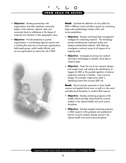- • **Objective:** Develop partnerships with organizations and other significant community leaders at the national, regional, state, and community levels to collaborate in the design of materials and initiatives in their geographic areas.
- **Objective:** Provide leadership to partner organizations in coordinating regional summits and in enlisting the resources of community organizations, faith-based groups, public health officials, and service organizations to reduce the risk of SIDS.



**Goal:** Facilitate the definition of risk profiles for SIDS in different racial and ethnic groups by conducting large-scale epidemiologic studies within and across populations.

- • **Objective:** Develop web-based data management strategies for conducting research. This technology permits simultaneously-conducted studies and employs standardized methods, while allowing investigators continual access to all aspects of an ongoing study.
- **Objective:** Investigate promising new medical informatics technologies to identify critical data or research gaps.
- **Objective:** Foster the use of new research designs and analytic tools well suited to the identification of triggers for SIDS or the possible repetition of adverse pregnancy outcomes in families. Case crossover designs, for example, might prove useful in identifying factors that increase SIDS risk.

**Goal:** Recruit minority researchers in basic health sciences and applied clinical care, as well as in the social and behavioral disciplines, to conduct SIDS research.

- • **Objective:** Develop mentoring programs at the middle school and high school levels for minority students in the relevant health and social science disciplines.
- **Objective:** Develop targeted mentoring programs in SIDS research at the graduate and postdoctoral level for minority students already trained in the relevant health and social science disciplines.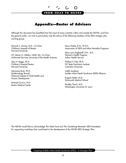

# **Appendix—Roster of Advisors**

<span id="page-40-0"></span>Although this document has benefited from the input of many scientists within and outside the NICHD, and from the general public, we wish to particularly note the advice of the following members of the SIDS strategic plan working group:

Hannah C. Kinney, M.D., Co-Chair Children's Hospital of Boston Harvard University

LTC Martin G. Ottolini, USAF, MC, Co-Chair Uniformed Services University of the Health Sciences

Alan H. Beggs, Ph.D. Children's Hospital Boston Harvard University

Germaine Buck, Ph.D. Epidemiology Branch National Institute of Child Health and Human Development

Michael Corwin, M.D. Boston Medical Center Dawn Dailey, R.N., M.S.N. Association of SIDS and Infant Mortality Programs

Mary Lynn Eaglestaff, R.N., M.S. Women's Health Program Indian Health Service

William P. Fifer, Ph.D. NY State Psychiatric Institute Columbia University

Judith Jacobson Sudden Infant Death Syndrome (SIDS) Alliance

Eugene Nattie, M.D. Dartmouth Medical School

Bradley Thach, M.D. Washington University St. Louis

The NICHD would like to acknowledge *The Noah Fund* and *The Considering Alexander SIDS Foundation*  for supporting workshops that contributed to the development of the NICHD SIDS Strategic Plan.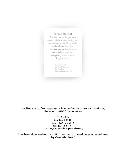#### Forget Me Not

The little one no longer here comes quietly in the morning sun reminding me of midday walks and midnight feedings. The little one no longer here sits quietly in my heart whispering in my dreams forget me not.

> Debbie Gemmill from The Chance to Say Goodbye Beachcomber Press, 1991

For additional copies of this strategic plan, or for more information on contacts or related issues, please contact the NICHD Clearinghouse at

> P.O. Box 3006 Rockville, MD 20847 Phone: (800) 370-2943 Fax: (301) 496-7101 Web: http://www.nichd.nih.gov/publications/

For additional information about other NICHD strategic plans and research, please visit our Web site at http://www.nichd.nih.gov/